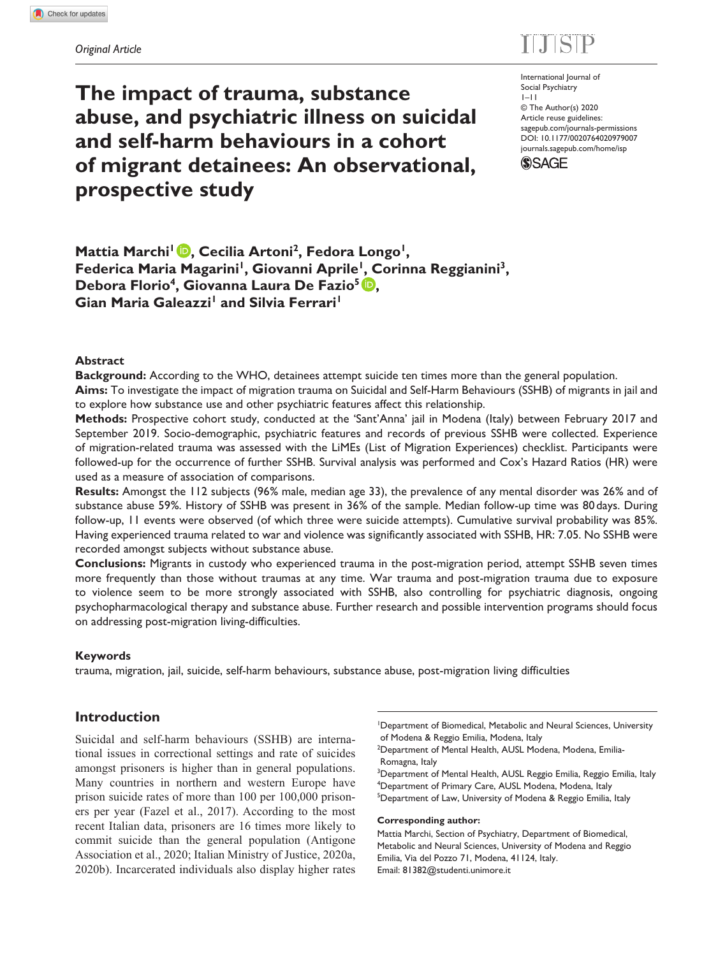# $E = 100$

**The impact of trauma, substance abuse, and psychiatric illness on suicidal and self-harm behaviours in a cohort of migrant detainees: An observational, prospective study**

International Journal of Social Psychiatry 1–11 © The Author(s) 2020 Article reuse guidelines: [sagepub.com/journals-permissions](https://uk.sagepub.com/en-gb/journals-permissions) DOI: 10.1177/0020764020979007 [journals.sagepub.com/home/isp](https://journals.sagepub.com/home/isp) **SSAGE** 

**Mattia Marchi<sup>1</sup> <b>D**, Cecilia Artoni<sup>2</sup>, Fedora Longo<sup>1</sup>, Federica Maria Magarini<sup>1</sup>, Giovanni Aprile<sup>1</sup>, Corinna Reggianini<sup>3</sup>, **Debora Florio4, Giovanna Laura De Fazio5 , Gian Maria Galeazzi<sup>1</sup> and Silvia Ferrari<sup>1</sup>** 

## **Abstract**

**Background:** According to the WHO, detainees attempt suicide ten times more than the general population.

**Aims:** To investigate the impact of migration trauma on Suicidal and Self-Harm Behaviours (SSHB) of migrants in jail and to explore how substance use and other psychiatric features affect this relationship.

**Methods:** Prospective cohort study, conducted at the 'Sant'Anna' jail in Modena (Italy) between February 2017 and September 2019. Socio-demographic, psychiatric features and records of previous SSHB were collected. Experience of migration-related trauma was assessed with the LiMEs (List of Migration Experiences) checklist. Participants were followed-up for the occurrence of further SSHB. Survival analysis was performed and Cox's Hazard Ratios (HR) were used as a measure of association of comparisons.

**Results:** Amongst the 112 subjects (96% male, median age 33), the prevalence of any mental disorder was 26% and of substance abuse 59%. History of SSHB was present in 36% of the sample. Median follow-up time was 80days. During follow-up, 11 events were observed (of which three were suicide attempts). Cumulative survival probability was 85%. Having experienced trauma related to war and violence was significantly associated with SSHB, HR: 7.05. No SSHB were recorded amongst subjects without substance abuse.

**Conclusions:** Migrants in custody who experienced trauma in the post-migration period, attempt SSHB seven times more frequently than those without traumas at any time. War trauma and post-migration trauma due to exposure to violence seem to be more strongly associated with SSHB, also controlling for psychiatric diagnosis, ongoing psychopharmacological therapy and substance abuse. Further research and possible intervention programs should focus on addressing post-migration living-difficulties.

## **Keywords**

trauma, migration, jail, suicide, self-harm behaviours, substance abuse, post-migration living difficulties

# **Introduction**

Suicidal and self-harm behaviours (SSHB) are international issues in correctional settings and rate of suicides amongst prisoners is higher than in general populations. Many countries in northern and western Europe have prison suicide rates of more than 100 per 100,000 prisoners per year (Fazel et al., 2017). According to the most recent Italian data, prisoners are 16 times more likely to commit suicide than the general population (Antigone Association et al., 2020; Italian Ministry of Justice, 2020a, 2020b). Incarcerated individuals also display higher rates 1 Department of Biomedical, Metabolic and Neural Sciences, University of Modena & Reggio Emilia, Modena, Italy

2 Department of Mental Health, AUSL Modena, Modena, Emilia-Romagna, Italy

<sup>3</sup>Department of Mental Health, AUSL Reggio Emilia, Reggio Emilia, Italy 4 Department of Primary Care, AUSL Modena, Modena, Italy <sup>5</sup>Department of Law, University of Modena & Reggio Emilia, Italy

#### **Corresponding author:**

Mattia Marchi, Section of Psychiatry, Department of Biomedical, Metabolic and Neural Sciences, University of Modena and Reggio Emilia, Via del Pozzo 71, Modena, 41124, Italy. Email: [81382@studenti.unimore.it](mailto:81382@studenti.unimore.it)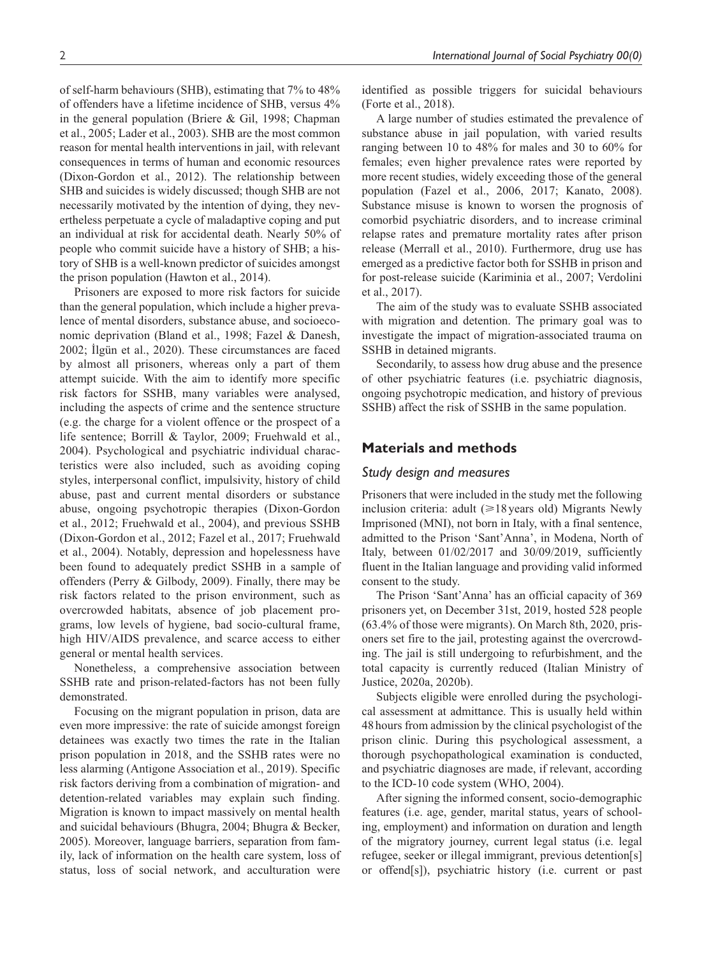of self-harm behaviours (SHB), estimating that 7% to 48% of offenders have a lifetime incidence of SHB, versus 4% in the general population (Briere & Gil, 1998; Chapman et al., 2005; Lader et al., 2003). SHB are the most common reason for mental health interventions in jail, with relevant consequences in terms of human and economic resources (Dixon-Gordon et al., 2012). The relationship between SHB and suicides is widely discussed; though SHB are not necessarily motivated by the intention of dying, they nevertheless perpetuate a cycle of maladaptive coping and put an individual at risk for accidental death. Nearly 50% of people who commit suicide have a history of SHB; a history of SHB is a well-known predictor of suicides amongst the prison population (Hawton et al., 2014).

Prisoners are exposed to more risk factors for suicide than the general population, which include a higher prevalence of mental disorders, substance abuse, and socioeconomic deprivation (Bland et al., 1998; Fazel & Danesh, 2002; İlgün et al., 2020). These circumstances are faced by almost all prisoners, whereas only a part of them attempt suicide. With the aim to identify more specific risk factors for SSHB, many variables were analysed, including the aspects of crime and the sentence structure (e.g. the charge for a violent offence or the prospect of a life sentence; Borrill & Taylor, 2009; Fruehwald et al., 2004). Psychological and psychiatric individual characteristics were also included, such as avoiding coping styles, interpersonal conflict, impulsivity, history of child abuse, past and current mental disorders or substance abuse, ongoing psychotropic therapies (Dixon-Gordon et al., 2012; Fruehwald et al., 2004), and previous SSHB (Dixon-Gordon et al., 2012; Fazel et al., 2017; Fruehwald et al., 2004). Notably, depression and hopelessness have been found to adequately predict SSHB in a sample of offenders (Perry & Gilbody, 2009). Finally, there may be risk factors related to the prison environment, such as overcrowded habitats, absence of job placement programs, low levels of hygiene, bad socio-cultural frame, high HIV/AIDS prevalence, and scarce access to either general or mental health services.

Nonetheless, a comprehensive association between SSHB rate and prison-related-factors has not been fully demonstrated.

Focusing on the migrant population in prison, data are even more impressive: the rate of suicide amongst foreign detainees was exactly two times the rate in the Italian prison population in 2018, and the SSHB rates were no less alarming (Antigone Association et al., 2019). Specific risk factors deriving from a combination of migration- and detention-related variables may explain such finding. Migration is known to impact massively on mental health and suicidal behaviours (Bhugra, 2004; Bhugra & Becker, 2005). Moreover, language barriers, separation from family, lack of information on the health care system, loss of status, loss of social network, and acculturation were

identified as possible triggers for suicidal behaviours (Forte et al., 2018).

A large number of studies estimated the prevalence of substance abuse in jail population, with varied results ranging between 10 to 48% for males and 30 to 60% for females; even higher prevalence rates were reported by more recent studies, widely exceeding those of the general population (Fazel et al., 2006, 2017; Kanato, 2008). Substance misuse is known to worsen the prognosis of comorbid psychiatric disorders, and to increase criminal relapse rates and premature mortality rates after prison release (Merrall et al., 2010). Furthermore, drug use has emerged as a predictive factor both for SSHB in prison and for post-release suicide (Kariminia et al., 2007; Verdolini et al., 2017).

The aim of the study was to evaluate SSHB associated with migration and detention. The primary goal was to investigate the impact of migration-associated trauma on SSHB in detained migrants.

Secondarily, to assess how drug abuse and the presence of other psychiatric features (i.e. psychiatric diagnosis, ongoing psychotropic medication, and history of previous SSHB) affect the risk of SSHB in the same population.

# **Materials and methods**

## *Study design and measures*

Prisoners that were included in the study met the following inclusion criteria: adult ( $\geq 18$  years old) Migrants Newly Imprisoned (MNI), not born in Italy, with a final sentence, admitted to the Prison 'Sant'Anna', in Modena, North of Italy, between 01/02/2017 and 30/09/2019, sufficiently fluent in the Italian language and providing valid informed consent to the study.

The Prison 'Sant'Anna' has an official capacity of 369 prisoners yet, on December 31st, 2019, hosted 528 people (63.4% of those were migrants). On March 8th, 2020, prisoners set fire to the jail, protesting against the overcrowding. The jail is still undergoing to refurbishment, and the total capacity is currently reduced (Italian Ministry of Justice, 2020a, 2020b).

Subjects eligible were enrolled during the psychological assessment at admittance. This is usually held within 48 hours from admission by the clinical psychologist of the prison clinic. During this psychological assessment, a thorough psychopathological examination is conducted, and psychiatric diagnoses are made, if relevant, according to the ICD-10 code system (WHO, 2004).

After signing the informed consent, socio-demographic features (i.e. age, gender, marital status, years of schooling, employment) and information on duration and length of the migratory journey, current legal status (i.e. legal refugee, seeker or illegal immigrant, previous detention[s] or offend[s]), psychiatric history (i.e. current or past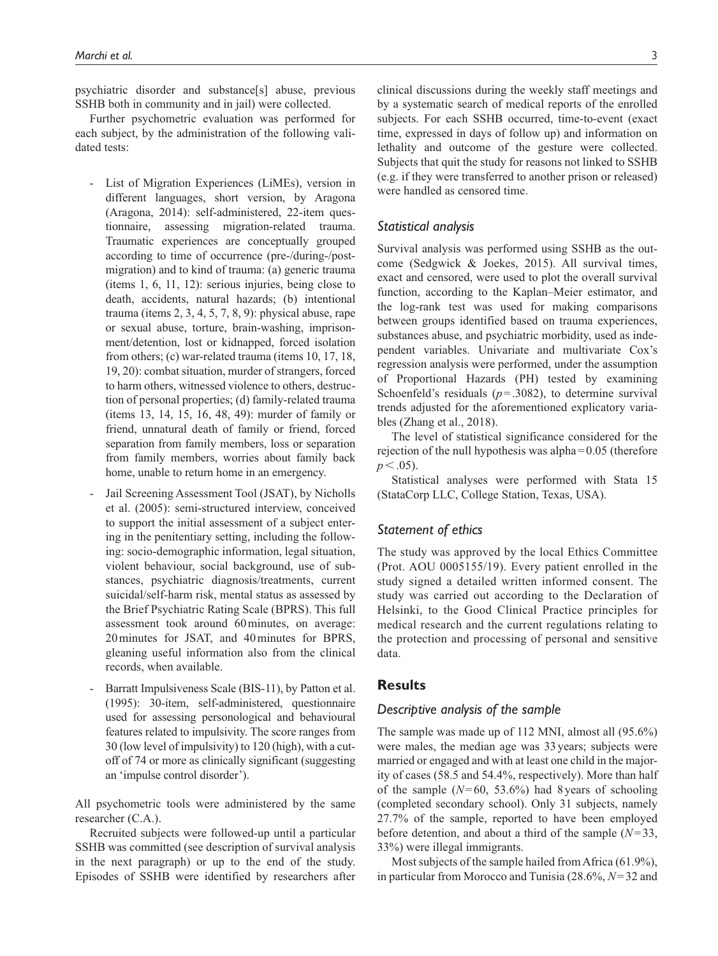psychiatric disorder and substance[s] abuse, previous SSHB both in community and in jail) were collected.

Further psychometric evaluation was performed for each subject, by the administration of the following validated tests:

- List of Migration Experiences (LiMEs), version in different languages, short version, by Aragona (Aragona, 2014): self-administered, 22-item questionnaire, assessing migration-related trauma. Traumatic experiences are conceptually grouped according to time of occurrence (pre-/during-/postmigration) and to kind of trauma: (a) generic trauma (items 1, 6, 11, 12): serious injuries, being close to death, accidents, natural hazards; (b) intentional trauma (items  $2, 3, 4, 5, 7, 8, 9$ ): physical abuse, rape or sexual abuse, torture, brain-washing, imprisonment/detention, lost or kidnapped, forced isolation from others; (c) war-related trauma (items 10, 17, 18, 19, 20): combat situation, murder of strangers, forced to harm others, witnessed violence to others, destruction of personal properties; (d) family-related trauma (items 13, 14, 15, 16, 48, 49): murder of family or friend, unnatural death of family or friend, forced separation from family members, loss or separation from family members, worries about family back home, unable to return home in an emergency.
- Jail Screening Assessment Tool (JSAT), by Nicholls et al. (2005): semi-structured interview, conceived to support the initial assessment of a subject entering in the penitentiary setting, including the following: socio-demographic information, legal situation, violent behaviour, social background, use of substances, psychiatric diagnosis/treatments, current suicidal/self-harm risk, mental status as assessed by the Brief Psychiatric Rating Scale (BPRS). This full assessment took around 60minutes, on average: 20minutes for JSAT, and 40minutes for BPRS, gleaning useful information also from the clinical records, when available.
- Barratt Impulsiveness Scale (BIS-11), by Patton et al. (1995): 30-item, self-administered, questionnaire used for assessing personological and behavioural features related to impulsivity. The score ranges from 30 (low level of impulsivity) to 120 (high), with a cutoff of 74 or more as clinically significant (suggesting an 'impulse control disorder').

All psychometric tools were administered by the same researcher (C.A.).

Recruited subjects were followed-up until a particular SSHB was committed (see description of survival analysis in the next paragraph) or up to the end of the study. Episodes of SSHB were identified by researchers after clinical discussions during the weekly staff meetings and by a systematic search of medical reports of the enrolled subjects. For each SSHB occurred, time-to-event (exact time, expressed in days of follow up) and information on lethality and outcome of the gesture were collected. Subjects that quit the study for reasons not linked to SSHB (e.g. if they were transferred to another prison or released) were handled as censored time.

# *Statistical analysis*

Survival analysis was performed using SSHB as the outcome (Sedgwick & Joekes, 2015). All survival times, exact and censored, were used to plot the overall survival function, according to the Kaplan–Meier estimator, and the log-rank test was used for making comparisons between groups identified based on trauma experiences, substances abuse, and psychiatric morbidity, used as independent variables. Univariate and multivariate Cox's regression analysis were performed, under the assumption of Proportional Hazards (PH) tested by examining Schoenfeld's residuals (*p*=.3082), to determine survival trends adjusted for the aforementioned explicatory variables (Zhang et al., 2018).

The level of statistical significance considered for the rejection of the null hypothesis was alpha=0.05 (therefore  $p < .05$ ).

Statistical analyses were performed with Stata 15 (StataCorp LLC, College Station, Texas, USA).

# *Statement of ethics*

The study was approved by the local Ethics Committee (Prot. AOU 0005155/19). Every patient enrolled in the study signed a detailed written informed consent. The study was carried out according to the Declaration of Helsinki, to the Good Clinical Practice principles for medical research and the current regulations relating to the protection and processing of personal and sensitive data.

## **Results**

#### *Descriptive analysis of the sample*

The sample was made up of 112 MNI, almost all (95.6%) were males, the median age was 33years; subjects were married or engaged and with at least one child in the majority of cases (58.5 and 54.4%, respectively). More than half of the sample  $(N=60, 53.6%)$  had 8 years of schooling (completed secondary school). Only 31 subjects, namely 27.7% of the sample, reported to have been employed before detention, and about a third of the sample (*N*=33, 33%) were illegal immigrants.

Most subjects of the sample hailed from Africa (61.9%), in particular from Morocco and Tunisia (28.6%, *N*=32 and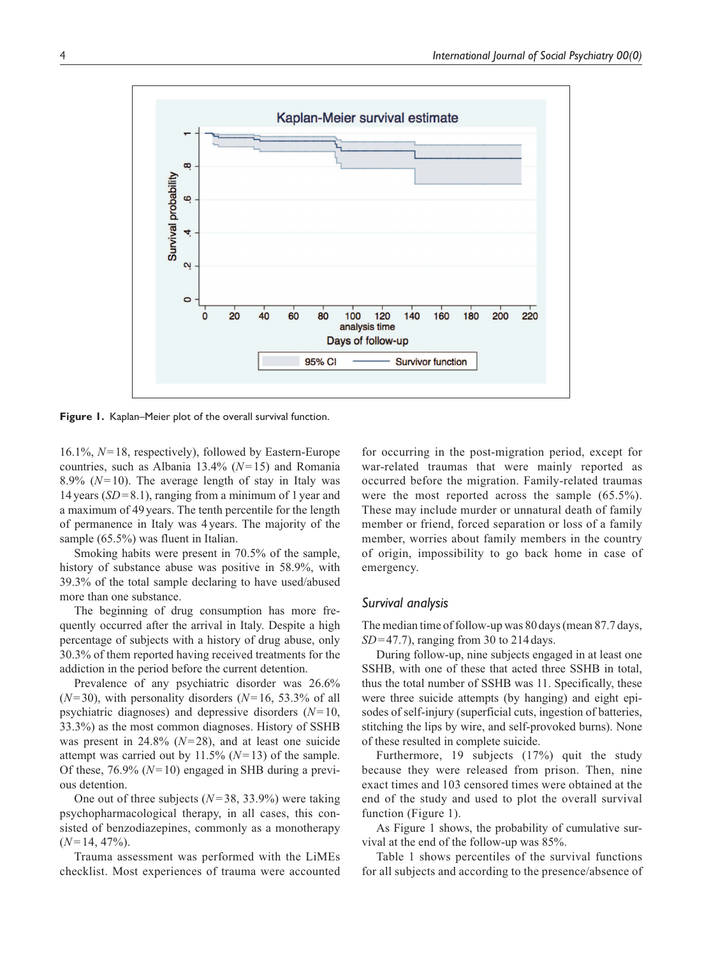

**Figure 1.** Kaplan–Meier plot of the overall survival function.

16.1%, *N*=18, respectively), followed by Eastern-Europe countries, such as Albania 13.4% (*N*=15) and Romania 8.9% ( $N=10$ ). The average length of stay in Italy was 14 years (*SD*=8.1), ranging from a minimum of 1year and a maximum of 49 years. The tenth percentile for the length of permanence in Italy was 4 years. The majority of the sample (65.5%) was fluent in Italian.

Smoking habits were present in 70.5% of the sample, history of substance abuse was positive in 58.9%, with 39.3% of the total sample declaring to have used/abused more than one substance.

The beginning of drug consumption has more frequently occurred after the arrival in Italy. Despite a high percentage of subjects with a history of drug abuse, only 30.3% of them reported having received treatments for the addiction in the period before the current detention.

Prevalence of any psychiatric disorder was 26.6% (*N*=30), with personality disorders (*N*=16, 53.3% of all psychiatric diagnoses) and depressive disorders (*N*=10, 33.3%) as the most common diagnoses. History of SSHB was present in 24.8% (*N*=28), and at least one suicide attempt was carried out by 11.5% (*N*=13) of the sample. Of these,  $76.9\%$  ( $N=10$ ) engaged in SHB during a previous detention.

One out of three subjects (*N*= 38, 33.9%) were taking psychopharmacological therapy, in all cases, this consisted of benzodiazepines, commonly as a monotherapy  $(N=14, 47\%)$ .

Trauma assessment was performed with the LiMEs checklist. Most experiences of trauma were accounted for occurring in the post-migration period, except for war-related traumas that were mainly reported as occurred before the migration. Family-related traumas were the most reported across the sample  $(65.5\%)$ . These may include murder or unnatural death of family member or friend, forced separation or loss of a family member, worries about family members in the country of origin, impossibility to go back home in case of emergency.

#### *Survival analysis*

The median time of follow-up was 80 days (mean 87.7days, *SD*=47.7), ranging from 30 to 214 days.

During follow-up, nine subjects engaged in at least one SSHB, with one of these that acted three SSHB in total, thus the total number of SSHB was 11. Specifically, these were three suicide attempts (by hanging) and eight episodes of self-injury (superficial cuts, ingestion of batteries, stitching the lips by wire, and self-provoked burns). None of these resulted in complete suicide.

Furthermore, 19 subjects (17%) quit the study because they were released from prison. Then, nine exact times and 103 censored times were obtained at the end of the study and used to plot the overall survival function (Figure 1).

As Figure 1 shows, the probability of cumulative survival at the end of the follow-up was 85%.

Table 1 shows percentiles of the survival functions for all subjects and according to the presence/absence of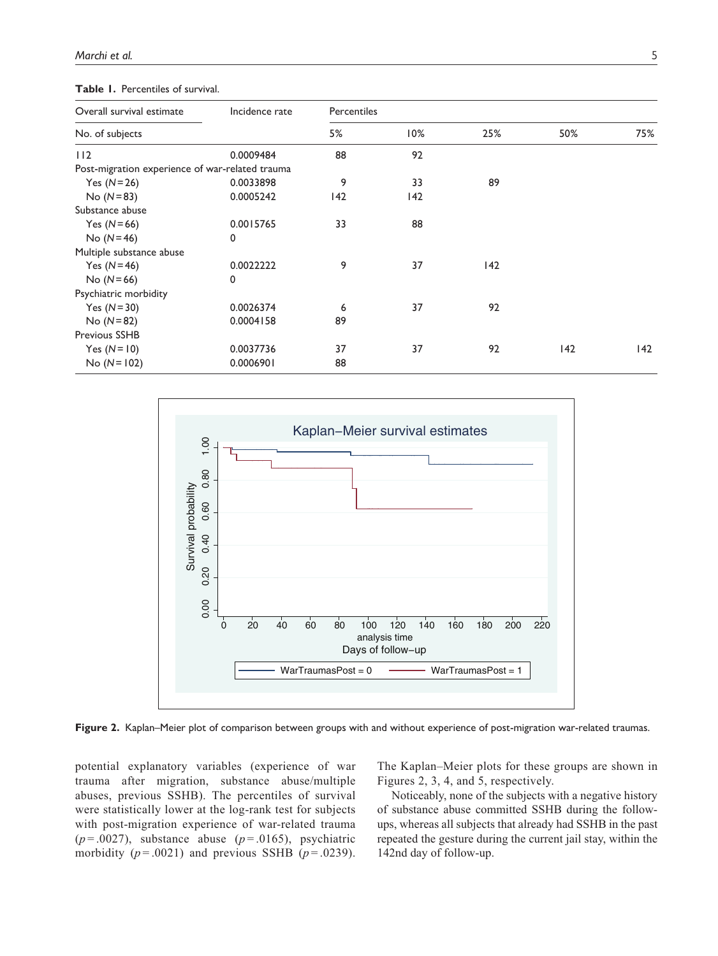| Overall survival estimate                       | Incidence rate | Percentiles |     |     |     |     |  |
|-------------------------------------------------|----------------|-------------|-----|-----|-----|-----|--|
| No. of subjects                                 |                | 5%          | 10% | 25% | 50% | 75% |  |
| 112                                             | 0.0009484      | 88          | 92  |     |     |     |  |
| Post-migration experience of war-related trauma |                |             |     |     |     |     |  |
| Yes $(N=26)$                                    | 0.0033898      | 9           | 33  | 89  |     |     |  |
| $No (N=83)$                                     | 0.0005242      | 142         | 142 |     |     |     |  |
| Substance abuse                                 |                |             |     |     |     |     |  |
| Yes $(N=66)$                                    | 0.0015765      | 33          | 88  |     |     |     |  |
| $No (N=46)$                                     | 0              |             |     |     |     |     |  |
| Multiple substance abuse                        |                |             |     |     |     |     |  |
| Yes $(N=46)$                                    | 0.0022222      | 9           | 37  | 142 |     |     |  |
| $No (N=66)$                                     | 0              |             |     |     |     |     |  |
| Psychiatric morbidity                           |                |             |     |     |     |     |  |
| Yes $(N=30)$                                    | 0.0026374      | 6           | 37  | 92  |     |     |  |
| $No (N = 82)$                                   | 0.0004158      | 89          |     |     |     |     |  |
| Previous SSHB                                   |                |             |     |     |     |     |  |
| Yes $(N = 10)$                                  | 0.0037736      | 37          | 37  | 92  | 142 | 142 |  |
| No $(N = 102)$                                  | 0.0006901      | 88          |     |     |     |     |  |

#### **Table 1.** Percentiles of survival.



**Figure 2.** Kaplan–Meier plot of comparison between groups with and without experience of post-migration war-related traumas.

potential explanatory variables (experience of war trauma after migration, substance abuse/multiple abuses, previous SSHB). The percentiles of survival were statistically lower at the log-rank test for subjects with post-migration experience of war-related trauma  $(p=.0027)$ , substance abuse  $(p=.0165)$ , psychiatric morbidity  $(p=.0021)$  and previous SSHB  $(p=.0239)$ . The Kaplan–Meier plots for these groups are shown in Figures 2, 3, 4, and 5, respectively.

Noticeably, none of the subjects with a negative history of substance abuse committed SSHB during the followups, whereas all subjects that already had SSHB in the past repeated the gesture during the current jail stay, within the 142nd day of follow-up.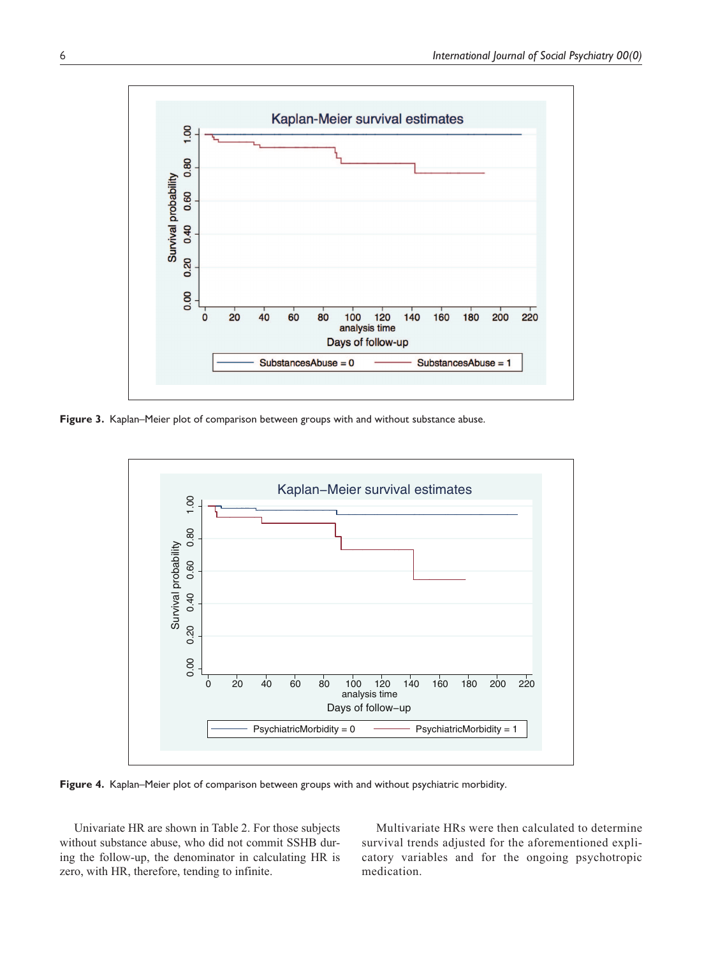

Figure 3. Kaplan–Meier plot of comparison between groups with and without substance abuse.



**Figure 4.** Kaplan–Meier plot of comparison between groups with and without psychiatric morbidity.

Univariate HR are shown in Table 2. For those subjects without substance abuse, who did not commit SSHB during the follow-up, the denominator in calculating HR is zero, with HR, therefore, tending to infinite.

Multivariate HRs were then calculated to determine survival trends adjusted for the aforementioned explicatory variables and for the ongoing psychotropic medication.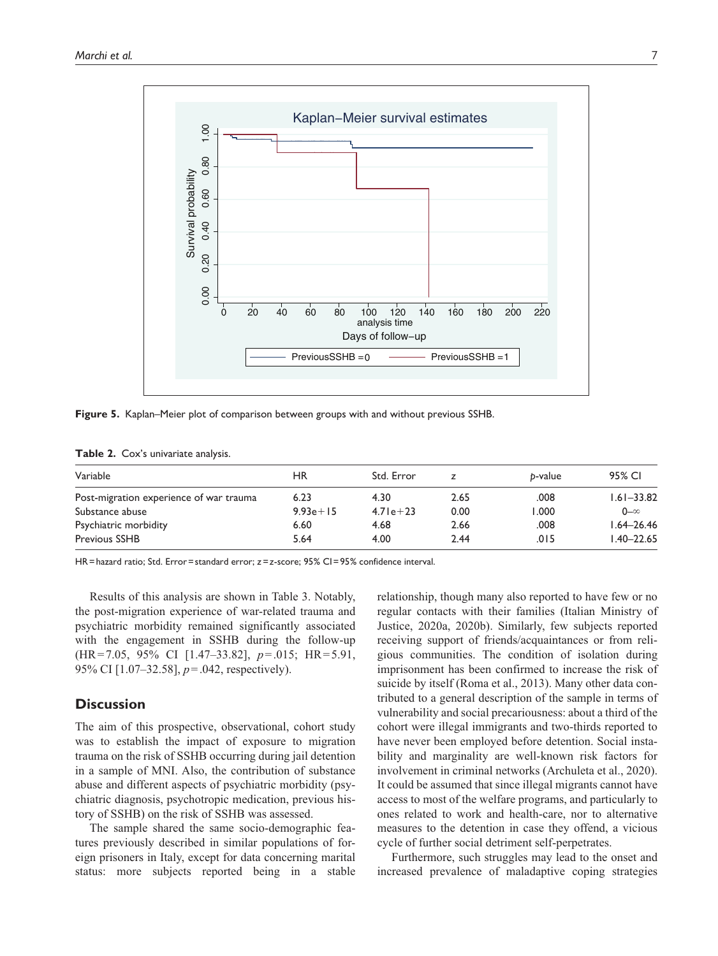

**Figure 5.** Kaplan–Meier plot of comparison between groups with and without previous SSHB.

| Table 2. Cox's univariate analysis. |  |  |  |  |  |  |
|-------------------------------------|--|--|--|--|--|--|
|-------------------------------------|--|--|--|--|--|--|

| Variable                                | НR           | Std. Error   | z    | b-value | 95% CI         |
|-----------------------------------------|--------------|--------------|------|---------|----------------|
| Post-migration experience of war trauma | 6.23         | 4.30         | 2.65 | .008    | $1.61 - 33.82$ |
| Substance abuse                         | $9.93e + 15$ | $4.71e + 23$ | 0.00 | 1.000   | $0 - \infty$   |
| Psychiatric morbidity                   | 6.60         | 4.68         | 2.66 | .008    | $1.64 - 26.46$ |
| Previous SSHB                           | 5.64         | 4.00         | 2.44 | .015    | $1.40 - 22.65$ |

HR=hazard ratio; Std. Error=standard error; *z*=*z*-score; 95% CI=95% confidence interval.

Results of this analysis are shown in Table 3. Notably, the post-migration experience of war-related trauma and psychiatric morbidity remained significantly associated with the engagement in SSHB during the follow-up (HR=7.05, 95% CI [1.47–33.82], *p*=.015; HR=5.91, 95% CI [1.07–32.58], *p*=.042, respectively).

## **Discussion**

The aim of this prospective, observational, cohort study was to establish the impact of exposure to migration trauma on the risk of SSHB occurring during jail detention in a sample of MNI. Also, the contribution of substance abuse and different aspects of psychiatric morbidity (psychiatric diagnosis, psychotropic medication, previous history of SSHB) on the risk of SSHB was assessed.

The sample shared the same socio-demographic features previously described in similar populations of foreign prisoners in Italy, except for data concerning marital status: more subjects reported being in a stable relationship, though many also reported to have few or no regular contacts with their families (Italian Ministry of Justice, 2020a, 2020b). Similarly, few subjects reported receiving support of friends/acquaintances or from religious communities. The condition of isolation during imprisonment has been confirmed to increase the risk of suicide by itself (Roma et al., 2013). Many other data contributed to a general description of the sample in terms of vulnerability and social precariousness: about a third of the cohort were illegal immigrants and two-thirds reported to have never been employed before detention. Social instability and marginality are well-known risk factors for involvement in criminal networks (Archuleta et al., 2020). It could be assumed that since illegal migrants cannot have access to most of the welfare programs, and particularly to ones related to work and health-care, nor to alternative measures to the detention in case they offend, a vicious cycle of further social detriment self-perpetrates.

Furthermore, such struggles may lead to the onset and increased prevalence of maladaptive coping strategies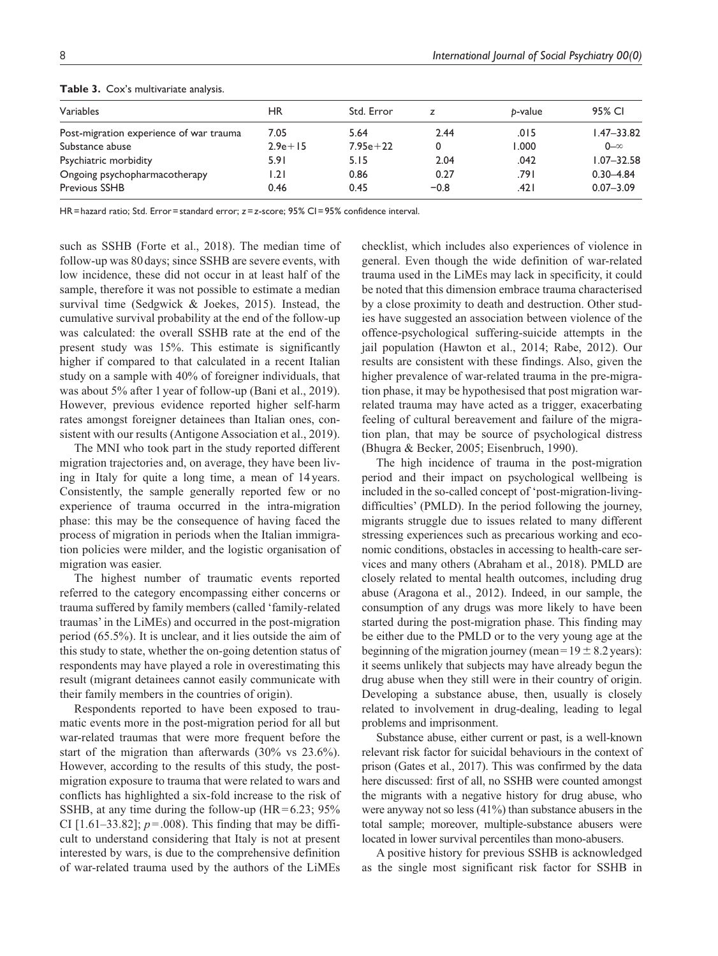| Variables                               | HR          | Std. Error   |        | b-value | 95% CI         |
|-----------------------------------------|-------------|--------------|--------|---------|----------------|
| Post-migration experience of war trauma | 7.05        | 5.64         | 2.44   | .015    | $1.47 - 33.82$ |
| Substance abuse                         | $2.9e + 15$ | $7.95e + 22$ |        | 000.    | $0 - \infty$   |
| Psychiatric morbidity                   | 5.91        | 5.15         | 2.04   | .042    | $1.07 - 32.58$ |
| Ongoing psychopharmacotherapy           | 1.21        | 0.86         | 0.27   | .791    | $0.30 - 4.84$  |
| Previous SSHB                           | 0.46        | 0.45         | $-0.8$ | ا 42.   | $0.07 - 3.09$  |

**Table 3.** Cox's multivariate analysis.

HR=hazard ratio; Std. Error=standard error; *z*=*z*-score; 95% CI=95% confidence interval.

such as SSHB (Forte et al., 2018). The median time of follow-up was 80days; since SSHB are severe events, with low incidence, these did not occur in at least half of the sample, therefore it was not possible to estimate a median survival time (Sedgwick & Joekes, 2015). Instead, the cumulative survival probability at the end of the follow-up was calculated: the overall SSHB rate at the end of the present study was 15%. This estimate is significantly higher if compared to that calculated in a recent Italian study on a sample with 40% of foreigner individuals, that was about 5% after 1 year of follow-up (Bani et al., 2019). However, previous evidence reported higher self-harm rates amongst foreigner detainees than Italian ones, consistent with our results (Antigone Association et al., 2019).

The MNI who took part in the study reported different migration trajectories and, on average, they have been living in Italy for quite a long time, a mean of 14 years. Consistently, the sample generally reported few or no experience of trauma occurred in the intra-migration phase: this may be the consequence of having faced the process of migration in periods when the Italian immigration policies were milder, and the logistic organisation of migration was easier.

The highest number of traumatic events reported referred to the category encompassing either concerns or trauma suffered by family members (called 'family-related traumas' in the LiMEs) and occurred in the post-migration period (65.5%). It is unclear, and it lies outside the aim of this study to state, whether the on-going detention status of respondents may have played a role in overestimating this result (migrant detainees cannot easily communicate with their family members in the countries of origin).

Respondents reported to have been exposed to traumatic events more in the post-migration period for all but war-related traumas that were more frequent before the start of the migration than afterwards (30% vs 23.6%). However, according to the results of this study, the postmigration exposure to trauma that were related to wars and conflicts has highlighted a six-fold increase to the risk of SSHB, at any time during the follow-up  $(HR=6.23; 95\%)$ CI  $[1.61-33.82]$ ;  $p=.008$ ). This finding that may be difficult to understand considering that Italy is not at present interested by wars, is due to the comprehensive definition of war-related trauma used by the authors of the LiMEs

checklist, which includes also experiences of violence in general. Even though the wide definition of war-related trauma used in the LiMEs may lack in specificity, it could be noted that this dimension embrace trauma characterised by a close proximity to death and destruction. Other studies have suggested an association between violence of the offence-psychological suffering-suicide attempts in the jail population (Hawton et al., 2014; Rabe, 2012). Our results are consistent with these findings. Also, given the higher prevalence of war-related trauma in the pre-migration phase, it may be hypothesised that post migration warrelated trauma may have acted as a trigger, exacerbating feeling of cultural bereavement and failure of the migration plan, that may be source of psychological distress (Bhugra & Becker, 2005; Eisenbruch, 1990).

The high incidence of trauma in the post-migration period and their impact on psychological wellbeing is included in the so-called concept of 'post-migration-livingdifficulties' (PMLD). In the period following the journey, migrants struggle due to issues related to many different stressing experiences such as precarious working and economic conditions, obstacles in accessing to health-care services and many others (Abraham et al., 2018). PMLD are closely related to mental health outcomes, including drug abuse (Aragona et al., 2012). Indeed, in our sample, the consumption of any drugs was more likely to have been started during the post-migration phase. This finding may be either due to the PMLD or to the very young age at the beginning of the migration journey (mean= $19 \pm 8.2$  years): it seems unlikely that subjects may have already begun the drug abuse when they still were in their country of origin. Developing a substance abuse, then, usually is closely related to involvement in drug-dealing, leading to legal problems and imprisonment.

Substance abuse, either current or past, is a well-known relevant risk factor for suicidal behaviours in the context of prison (Gates et al., 2017). This was confirmed by the data here discussed: first of all, no SSHB were counted amongst the migrants with a negative history for drug abuse, who were anyway not so less (41%) than substance abusers in the total sample; moreover, multiple-substance abusers were located in lower survival percentiles than mono-abusers.

A positive history for previous SSHB is acknowledged as the single most significant risk factor for SSHB in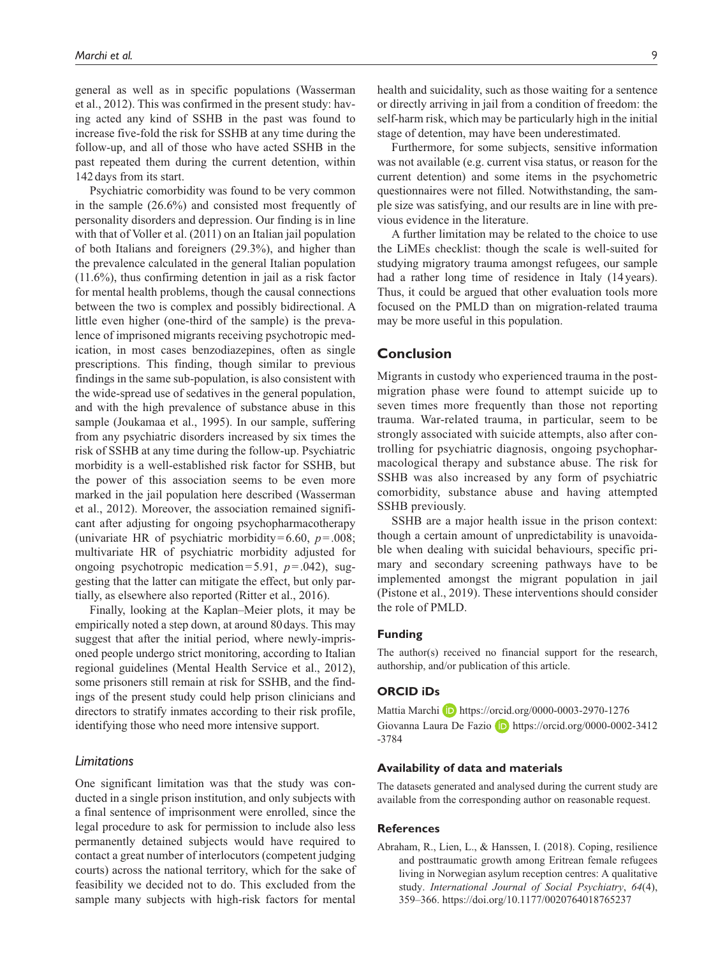general as well as in specific populations (Wasserman et al., 2012). This was confirmed in the present study: having acted any kind of SSHB in the past was found to increase five-fold the risk for SSHB at any time during the follow-up, and all of those who have acted SSHB in the past repeated them during the current detention, within 142 days from its start.

Psychiatric comorbidity was found to be very common in the sample (26.6%) and consisted most frequently of personality disorders and depression. Our finding is in line with that of Voller et al. (2011) on an Italian jail population of both Italians and foreigners (29.3%), and higher than the prevalence calculated in the general Italian population (11.6%), thus confirming detention in jail as a risk factor for mental health problems, though the causal connections between the two is complex and possibly bidirectional. A little even higher (one-third of the sample) is the prevalence of imprisoned migrants receiving psychotropic medication, in most cases benzodiazepines, often as single prescriptions. This finding, though similar to previous findings in the same sub-population, is also consistent with the wide-spread use of sedatives in the general population, and with the high prevalence of substance abuse in this sample (Joukamaa et al., 1995). In our sample, suffering from any psychiatric disorders increased by six times the risk of SSHB at any time during the follow-up. Psychiatric morbidity is a well-established risk factor for SSHB, but the power of this association seems to be even more marked in the jail population here described (Wasserman et al., 2012). Moreover, the association remained significant after adjusting for ongoing psychopharmacotherapy (univariate HR of psychiatric morbidity=6.60,  $p = .008$ ; multivariate HR of psychiatric morbidity adjusted for ongoing psychotropic medication=5.91, *p*=.042), suggesting that the latter can mitigate the effect, but only partially, as elsewhere also reported (Ritter et al., 2016).

Finally, looking at the Kaplan–Meier plots, it may be empirically noted a step down, at around 80days. This may suggest that after the initial period, where newly-imprisoned people undergo strict monitoring, according to Italian regional guidelines (Mental Health Service et al., 2012), some prisoners still remain at risk for SSHB, and the findings of the present study could help prison clinicians and directors to stratify inmates according to their risk profile, identifying those who need more intensive support.

### *Limitations*

One significant limitation was that the study was conducted in a single prison institution, and only subjects with a final sentence of imprisonment were enrolled, since the legal procedure to ask for permission to include also less permanently detained subjects would have required to contact a great number of interlocutors (competent judging courts) across the national territory, which for the sake of feasibility we decided not to do. This excluded from the sample many subjects with high-risk factors for mental health and suicidality, such as those waiting for a sentence or directly arriving in jail from a condition of freedom: the self-harm risk, which may be particularly high in the initial stage of detention, may have been underestimated.

Furthermore, for some subjects, sensitive information was not available (e.g. current visa status, or reason for the current detention) and some items in the psychometric questionnaires were not filled. Notwithstanding, the sample size was satisfying, and our results are in line with previous evidence in the literature.

A further limitation may be related to the choice to use the LiMEs checklist: though the scale is well-suited for studying migratory trauma amongst refugees, our sample had a rather long time of residence in Italy (14years). Thus, it could be argued that other evaluation tools more focused on the PMLD than on migration-related trauma may be more useful in this population.

## **Conclusion**

Migrants in custody who experienced trauma in the postmigration phase were found to attempt suicide up to seven times more frequently than those not reporting trauma. War-related trauma, in particular, seem to be strongly associated with suicide attempts, also after controlling for psychiatric diagnosis, ongoing psychopharmacological therapy and substance abuse. The risk for SSHB was also increased by any form of psychiatric comorbidity, substance abuse and having attempted SSHB previously.

SSHB are a major health issue in the prison context: though a certain amount of unpredictability is unavoidable when dealing with suicidal behaviours, specific primary and secondary screening pathways have to be implemented amongst the migrant population in jail (Pistone et al., 2019). These interventions should consider the role of PMLD.

## **Funding**

The author(s) received no financial support for the research, authorship, and/or publication of this article.

#### **ORCID iDs**

Mattia Marchi **iD** <https://orcid.org/0000-0003-2970-1276> Giovanna Laura De Fazio D [https://orcid.org/0000-0002-3412](https://orcid.org/0000-0002-3412-3784) [-3784](https://orcid.org/0000-0002-3412-3784)

#### **Availability of data and materials**

The datasets generated and analysed during the current study are available from the corresponding author on reasonable request.

#### **References**

Abraham, R., Lien, L., & Hanssen, I. (2018). Coping, resilience and posttraumatic growth among Eritrean female refugees living in Norwegian asylum reception centres: A qualitative study. *International Journal of Social Psychiatry*, *64*(4), 359–366.<https://doi.org/10.1177/0020764018765237>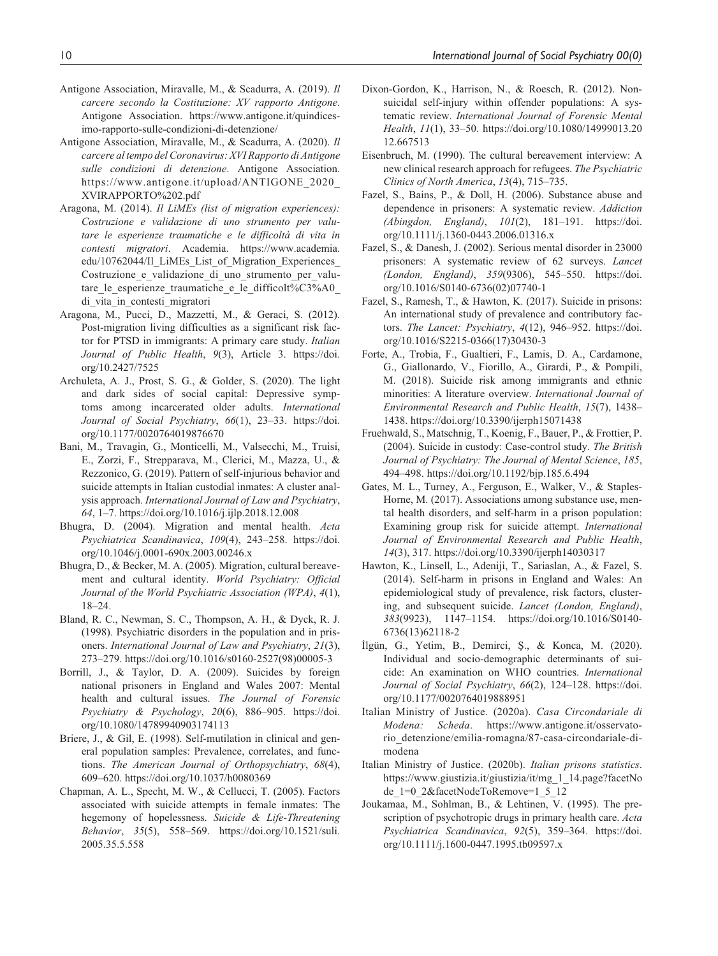- Antigone Association, Miravalle, M., & Scadurra, A. (2019). *Il carcere secondo la Costituzione: XV rapporto Antigone*. Antigone Association. [https://www.antigone.it/quindices](https://www.antigone.it/quindicesimo-rapporto-sulle-condizioni-di-detenzione/)[imo-rapporto-sulle-condizioni-di-detenzione/](https://www.antigone.it/quindicesimo-rapporto-sulle-condizioni-di-detenzione/)
- Antigone Association, Miravalle, M., & Scadurra, A. (2020). *Il carcere al tempo del Coronavirus: XVI Rapporto di Antigone sulle condizioni di detenzione*. Antigone Association. [https://www.antigone.it/upload/ANTIGONE\\_2020\\_](https://www.antigone.it/upload/ANTIGONE_2020_XVIRAPPORTO%202.pdf) [XVIRAPPORTO%202.pdf](https://www.antigone.it/upload/ANTIGONE_2020_XVIRAPPORTO%202.pdf)
- Aragona, M. (2014). *Il LiMEs (list of migration experiences): Costruzione e validazione di uno strumento per valutare le esperienze traumatiche e le difficoltà di vita in contesti migratori*. Academia. [https://www.academia.](https://www.academia.edu/10762044/Il_LiMEs_List_of_Migration_Experiences_Costruzione_e_validazione_di_uno_strumento_per_valutare_le_esperienze_traumatiche_e_le_difficolt%C3%A0_di_vita_in_contesti_migratori) edu/10762044/Il LiMEs List of Migration Experiences Costruzione e validazione di uno strumento per valutare le esperienze traumatiche e le difficolt%C3%A0 [di\\_vita\\_in\\_contesti\\_migratori](https://www.academia.edu/10762044/Il_LiMEs_List_of_Migration_Experiences_Costruzione_e_validazione_di_uno_strumento_per_valutare_le_esperienze_traumatiche_e_le_difficolt%C3%A0_di_vita_in_contesti_migratori)
- Aragona, M., Pucci, D., Mazzetti, M., & Geraci, S. (2012). Post-migration living difficulties as a significant risk factor for PTSD in immigrants: A primary care study. *Italian Journal of Public Health*, *9*(3), Article 3. [https://doi.](https://doi.org/10.2427/7525) [org/10.2427/7525](https://doi.org/10.2427/7525)
- Archuleta, A. J., Prost, S. G., & Golder, S. (2020). The light and dark sides of social capital: Depressive symptoms among incarcerated older adults. *International Journal of Social Psychiatry*, *66*(1), 23–33. [https://doi.](https://doi.org/10.1177/0020764019876670) [org/10.1177/0020764019876670](https://doi.org/10.1177/0020764019876670)
- Bani, M., Travagin, G., Monticelli, M., Valsecchi, M., Truisi, E., Zorzi, F., Strepparava, M., Clerici, M., Mazza, U., & Rezzonico, G. (2019). Pattern of self-injurious behavior and suicide attempts in Italian custodial inmates: A cluster analysis approach. *International Journal of Law and Psychiatry*, *64*, 1–7.<https://doi.org/10.1016/j.ijlp.2018.12.008>
- Bhugra, D. (2004). Migration and mental health. *Acta Psychiatrica Scandinavica*, *109*(4), 243–258. [https://doi.](https://doi.org/10.1046/j.0001-690x.2003.00246.x) [org/10.1046/j.0001-690x.2003.00246.x](https://doi.org/10.1046/j.0001-690x.2003.00246.x)
- Bhugra, D., & Becker, M. A. (2005). Migration, cultural bereavement and cultural identity. *World Psychiatry: Official Journal of the World Psychiatric Association (WPA)*, *4*(1), 18–24.
- Bland, R. C., Newman, S. C., Thompson, A. H., & Dyck, R. J. (1998). Psychiatric disorders in the population and in prisoners. *International Journal of Law and Psychiatry*, *21*(3), 273–279. [https://doi.org/10.1016/s0160-2527\(98\)00005-3](https://doi.org/10.1016/s0160-2527(98)00005-3)
- Borrill, J., & Taylor, D. A. (2009). Suicides by foreign national prisoners in England and Wales 2007: Mental health and cultural issues. *The Journal of Forensic Psychiatry & Psychology*, *20*(6), 886–905. [https://doi.](https://doi.org/10.1080/14789940903174113) [org/10.1080/14789940903174113](https://doi.org/10.1080/14789940903174113)
- Briere, J., & Gil, E. (1998). Self-mutilation in clinical and general population samples: Prevalence, correlates, and functions. *The American Journal of Orthopsychiatry*, *68*(4), 609–620. <https://doi.org/10.1037/h0080369>
- Chapman, A. L., Specht, M. W., & Cellucci, T. (2005). Factors associated with suicide attempts in female inmates: The hegemony of hopelessness. *Suicide & Life-Threatening Behavior*, *35*(5), 558–569. [https://doi.org/10.1521/suli.](https://doi.org/10.1521/suli.2005.35.5.558) [2005.35.5.558](https://doi.org/10.1521/suli.2005.35.5.558)
- Dixon-Gordon, K., Harrison, N., & Roesch, R. (2012). Nonsuicidal self-injury within offender populations: A systematic review. *International Journal of Forensic Mental Health*, *11*(1), 33–50. [https://doi.org/10.1080/14999013.20](https://doi.org/10.1080/14999013.2012.667513) [12.667513](https://doi.org/10.1080/14999013.2012.667513)
- Eisenbruch, M. (1990). The cultural bereavement interview: A new clinical research approach for refugees. *The Psychiatric Clinics of North America*, *13*(4), 715–735.
- Fazel, S., Bains, P., & Doll, H. (2006). Substance abuse and dependence in prisoners: A systematic review. *Addiction (Abingdon, England)*, *101*(2), 181–191. [https://doi.](https://doi.org/10.1111/j.1360-0443.2006.01316.x) [org/10.1111/j.1360-0443.2006.01316.x](https://doi.org/10.1111/j.1360-0443.2006.01316.x)
- Fazel, S., & Danesh, J. (2002). Serious mental disorder in 23000 prisoners: A systematic review of 62 surveys. *Lancet (London, England)*, *359*(9306), 545–550. [https://doi.](https://doi.org/10.1016/S0140-6736(02)07740-1) [org/10.1016/S0140-6736\(02\)07740-1](https://doi.org/10.1016/S0140-6736(02)07740-1)
- Fazel, S., Ramesh, T., & Hawton, K. (2017). Suicide in prisons: An international study of prevalence and contributory factors. *The Lancet: Psychiatry*, *4*(12), 946–952. [https://doi.](https://doi.org/10.1016/S2215-0366(17)30430-3) [org/10.1016/S2215-0366\(17\)30430-3](https://doi.org/10.1016/S2215-0366(17)30430-3)
- Forte, A., Trobia, F., Gualtieri, F., Lamis, D. A., Cardamone, G., Giallonardo, V., Fiorillo, A., Girardi, P., & Pompili, M. (2018). Suicide risk among immigrants and ethnic minorities: A literature overview. *International Journal of Environmental Research and Public Health*, *15*(7), 1438– 1438. <https://doi.org/10.3390/ijerph15071438>
- Fruehwald, S., Matschnig, T., Koenig, F., Bauer, P., & Frottier, P. (2004). Suicide in custody: Case-control study. *The British Journal of Psychiatry: The Journal of Mental Science*, *185*, 494–498.<https://doi.org/10.1192/bjp.185.6.494>
- Gates, M. L., Turney, A., Ferguson, E., Walker, V., & Staples-Horne, M. (2017). Associations among substance use, mental health disorders, and self-harm in a prison population: Examining group risk for suicide attempt. *International Journal of Environmental Research and Public Health*, *14*(3), 317.<https://doi.org/10.3390/ijerph14030317>
- Hawton, K., Linsell, L., Adeniji, T., Sariaslan, A., & Fazel, S. (2014). Self-harm in prisons in England and Wales: An epidemiological study of prevalence, risk factors, clustering, and subsequent suicide. *Lancet (London, England)*, *383*(9923), 1147–1154. [https://doi.org/10.1016/S0140-](https://doi.org/10.1016/S0140-6736(13)62118-2) [6736\(13\)62118-2](https://doi.org/10.1016/S0140-6736(13)62118-2)
- İlgün, G., Yetim, B., Demirci, Ş., & Konca, M. (2020). Individual and socio-demographic determinants of suicide: An examination on WHO countries. *International Journal of Social Psychiatry*, *66*(2), 124–128. [https://doi.](https://doi.org/10.1177/0020764019888951) [org/10.1177/0020764019888951](https://doi.org/10.1177/0020764019888951)
- Italian Ministry of Justice. (2020a). *Casa Circondariale di Modena: Scheda*. [https://www.antigone.it/osservato](https://www.antigone.it/osservatorio_detenzione/emilia-romagna/87-casa-circondariale-di-modena)[rio\\_detenzione/emilia-romagna/87-casa-circondariale-di](https://www.antigone.it/osservatorio_detenzione/emilia-romagna/87-casa-circondariale-di-modena)[modena](https://www.antigone.it/osservatorio_detenzione/emilia-romagna/87-casa-circondariale-di-modena)
- Italian Ministry of Justice. (2020b). *Italian prisons statistics*. [https://www.giustizia.it/giustizia/it/mg\\_1\\_14.page?facetNo](https://www.giustizia.it/giustizia/it/mg_1_14.page?facetNode_1=0_2&facetNodeToRemove=1_5_12) [de\\_1=0\\_2&facetNodeToRemove=1\\_5\\_12](https://www.giustizia.it/giustizia/it/mg_1_14.page?facetNode_1=0_2&facetNodeToRemove=1_5_12)
- Joukamaa, M., Sohlman, B., & Lehtinen, V. (1995). The prescription of psychotropic drugs in primary health care. *Acta Psychiatrica Scandinavica*, *92*(5), 359–364. [https://doi.](https://doi.org/10.1111/j.1600-0447.1995.tb09597.x) [org/10.1111/j.1600-0447.1995.tb09597.x](https://doi.org/10.1111/j.1600-0447.1995.tb09597.x)